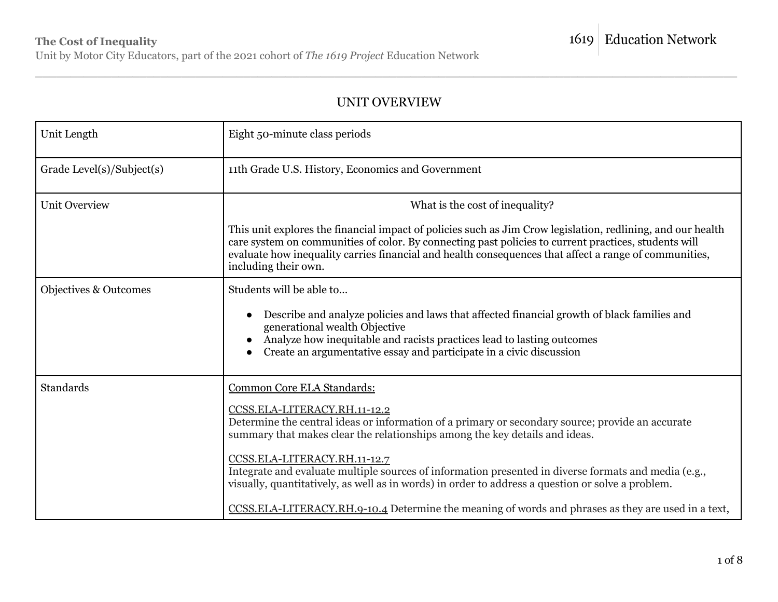### UNIT OVERVIEW

| Unit Length                      | Eight 50-minute class periods                                                                                                                                                                                                                                                                                                                        |  |  |
|----------------------------------|------------------------------------------------------------------------------------------------------------------------------------------------------------------------------------------------------------------------------------------------------------------------------------------------------------------------------------------------------|--|--|
| Grade Level(s)/Subject(s)        | 11th Grade U.S. History, Economics and Government                                                                                                                                                                                                                                                                                                    |  |  |
| <b>Unit Overview</b>             | What is the cost of inequality?                                                                                                                                                                                                                                                                                                                      |  |  |
|                                  | This unit explores the financial impact of policies such as Jim Crow legislation, redlining, and our health<br>care system on communities of color. By connecting past policies to current practices, students will<br>evaluate how inequality carries financial and health consequences that affect a range of communities,<br>including their own. |  |  |
| <b>Objectives &amp; Outcomes</b> | Students will be able to                                                                                                                                                                                                                                                                                                                             |  |  |
|                                  | Describe and analyze policies and laws that affected financial growth of black families and<br>$\bullet$<br>generational wealth Objective<br>Analyze how inequitable and racists practices lead to lasting outcomes<br>Create an argumentative essay and participate in a civic discussion                                                           |  |  |
| Standards                        | Common Core ELA Standards:                                                                                                                                                                                                                                                                                                                           |  |  |
|                                  | CCSS.ELA-LITERACY.RH.11-12.2<br>Determine the central ideas or information of a primary or secondary source; provide an accurate<br>summary that makes clear the relationships among the key details and ideas.                                                                                                                                      |  |  |
|                                  | CCSS.ELA-LITERACY.RH.11-12.7<br>Integrate and evaluate multiple sources of information presented in diverse formats and media (e.g.,<br>visually, quantitatively, as well as in words) in order to address a question or solve a problem.                                                                                                            |  |  |
|                                  | CCSS.ELA-LITERACY.RH.9-10.4 Determine the meaning of words and phrases as they are used in a text,                                                                                                                                                                                                                                                   |  |  |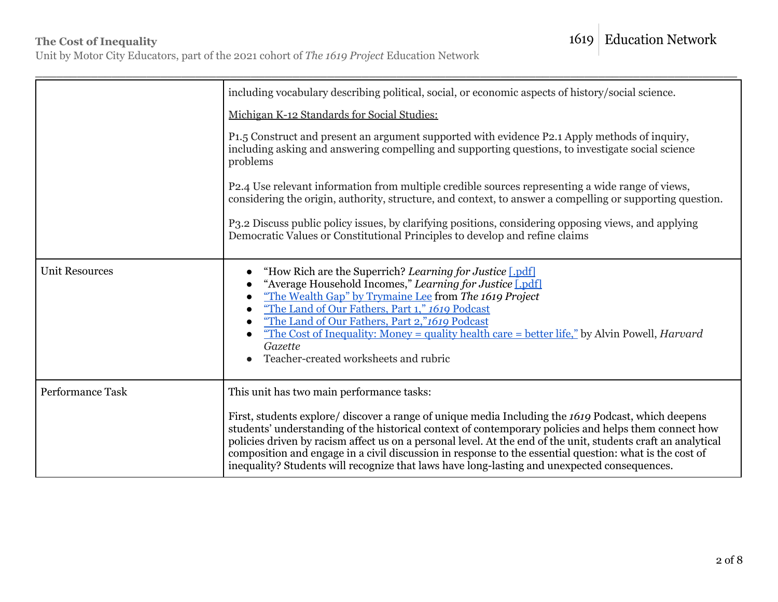Unit by Motor City Educators, part of the 2021 cohort of *The 1619 Project* Education Network

|                       | including vocabulary describing political, social, or economic aspects of history/social science.                                                                                                                                                                                                                                                                                                                                                                                                                                                                                     |  |  |  |
|-----------------------|---------------------------------------------------------------------------------------------------------------------------------------------------------------------------------------------------------------------------------------------------------------------------------------------------------------------------------------------------------------------------------------------------------------------------------------------------------------------------------------------------------------------------------------------------------------------------------------|--|--|--|
|                       | Michigan K-12 Standards for Social Studies:                                                                                                                                                                                                                                                                                                                                                                                                                                                                                                                                           |  |  |  |
|                       | P <sub>1.5</sub> Construct and present an argument supported with evidence P <sub>2.1</sub> Apply methods of inquiry,<br>including asking and answering compelling and supporting questions, to investigate social science<br>problems                                                                                                                                                                                                                                                                                                                                                |  |  |  |
|                       | P2.4 Use relevant information from multiple credible sources representing a wide range of views,<br>considering the origin, authority, structure, and context, to answer a compelling or supporting question.                                                                                                                                                                                                                                                                                                                                                                         |  |  |  |
|                       | P3.2 Discuss public policy issues, by clarifying positions, considering opposing views, and applying<br>Democratic Values or Constitutional Principles to develop and refine claims                                                                                                                                                                                                                                                                                                                                                                                                   |  |  |  |
| <b>Unit Resources</b> | "How Rich are the Superrich? Learning for Justice [.pdf]<br>"Average Household Incomes," Learning for Justice [.pdf]<br>"The Wealth Gap" by Trymaine Lee from The 1619 Project<br>$\bullet$<br>"The Land of Our Fathers, Part 1," 1619 Podcast<br>$\bullet$<br>"The Land of Our Fathers, Part 2,"1619 Podcast<br><u>"The Cost of Inequality: Money = quality health care = better life,"</u> by Alvin Powell, <i>Harvard</i><br>Gazette<br>Teacher-created worksheets and rubric                                                                                                      |  |  |  |
| Performance Task      | This unit has two main performance tasks:<br>First, students explore/ discover a range of unique media Including the 1619 Podcast, which deepens<br>students' understanding of the historical context of contemporary policies and helps them connect how<br>policies driven by racism affect us on a personal level. At the end of the unit, students craft an analytical<br>composition and engage in a civil discussion in response to the essential question: what is the cost of<br>inequality? Students will recognize that laws have long-lasting and unexpected consequences. |  |  |  |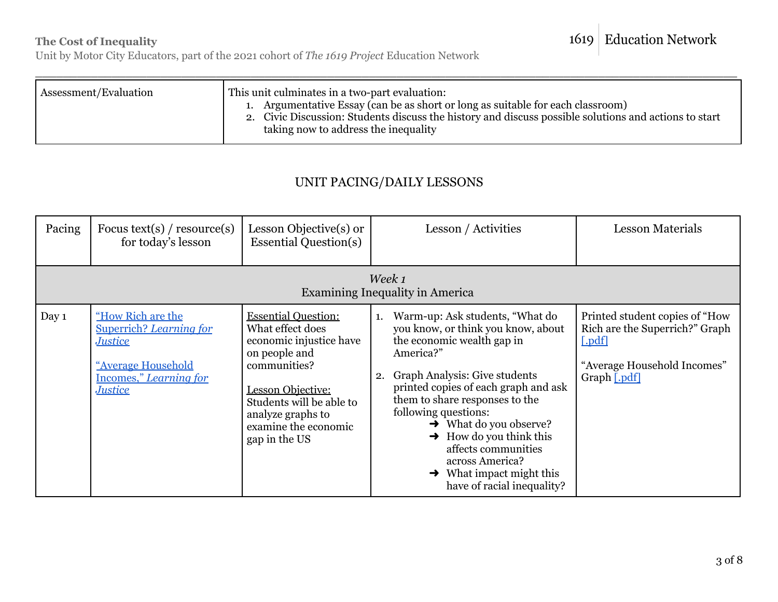## 1619 Education Network

### **The Cost of Inequality**

Unit by Motor City Educators, part of the 2021 cohort of *The 1619 Project* Education Network

\_\_\_\_\_\_\_\_\_\_\_\_\_\_\_\_\_\_\_\_\_\_\_\_\_\_\_\_\_\_\_\_\_\_\_\_\_\_\_\_\_\_\_\_\_\_\_\_\_\_\_\_\_\_\_\_\_\_\_\_\_\_\_\_\_\_\_\_\_\_\_\_\_\_\_\_\_\_\_\_\_\_\_\_\_\_\_\_\_\_\_\_\_\_\_\_\_\_\_\_\_

## UNIT PACING/DAILY LESSONS

| Pacing | Focus text(s) / resource(s)<br>for today's lesson                                                                                       | Lesson Objective(s) or<br><b>Essential Question(s)</b>                                                                                                                                                                    | Lesson / Activities                                                                                                                                                                                                                                                                                                                                                                                                              | <b>Lesson Materials</b>                                                                                                   |  |  |
|--------|-----------------------------------------------------------------------------------------------------------------------------------------|---------------------------------------------------------------------------------------------------------------------------------------------------------------------------------------------------------------------------|----------------------------------------------------------------------------------------------------------------------------------------------------------------------------------------------------------------------------------------------------------------------------------------------------------------------------------------------------------------------------------------------------------------------------------|---------------------------------------------------------------------------------------------------------------------------|--|--|
|        | Week 1<br><b>Examining Inequality in America</b>                                                                                        |                                                                                                                                                                                                                           |                                                                                                                                                                                                                                                                                                                                                                                                                                  |                                                                                                                           |  |  |
| Day 1  | "How Rich are the<br><b>Superrich?</b> Learning for<br><b>Justice</b><br>"Average Household<br>Incomes," Learning for<br><b>Justice</b> | <b>Essential Question:</b><br>What effect does<br>economic injustice have<br>on people and<br>communities?<br>Lesson Objective:<br>Students will be able to<br>analyze graphs to<br>examine the economic<br>gap in the US | Warm-up: Ask students, "What do<br>1.<br>you know, or think you know, about<br>the economic wealth gap in<br>America?"<br>Graph Analysis: Give students<br>2.<br>printed copies of each graph and ask<br>them to share responses to the<br>following questions:<br>$\rightarrow$ What do you observe?<br>How do you think this<br>affects communities<br>across America?<br>What impact might this<br>have of racial inequality? | Printed student copies of "How<br>Rich are the Superrich?" Graph<br>[.pdf]<br>"Average Household Incomes"<br>Graph [.pdf] |  |  |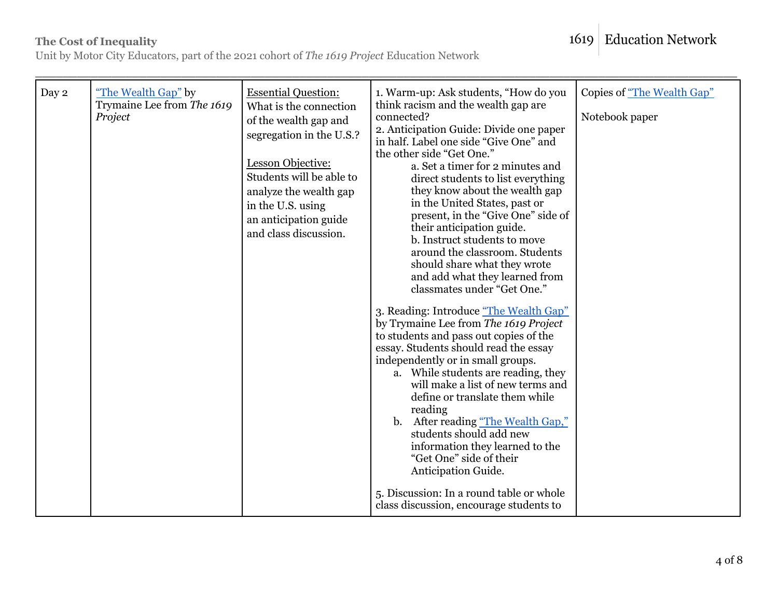1619 Education Network

Unit by Motor City Educators, part of the 2021 cohort of *The 1619 Project* Education Network

| Day 2 | "The Wealth Gap" by<br>Trymaine Lee from The 1619<br>Project | <b>Essential Question:</b><br>What is the connection<br>of the wealth gap and<br>segregation in the U.S.?<br>Lesson Objective:<br>Students will be able to<br>analyze the wealth gap<br>in the U.S. using<br>an anticipation guide<br>and class discussion. | 1. Warm-up: Ask students, "How do you<br>think racism and the wealth gap are<br>connected?<br>2. Anticipation Guide: Divide one paper<br>in half. Label one side "Give One" and<br>the other side "Get One."<br>a. Set a timer for 2 minutes and<br>direct students to list everything<br>they know about the wealth gap<br>in the United States, past or<br>present, in the "Give One" side of<br>their anticipation guide.<br>b. Instruct students to move<br>around the classroom. Students<br>should share what they wrote<br>and add what they learned from<br>classmates under "Get One."<br>3. Reading: Introduce "The Wealth Gap"<br>by Trymaine Lee from The 1619 Project<br>to students and pass out copies of the<br>essay. Students should read the essay<br>independently or in small groups.<br>a. While students are reading, they<br>will make a list of new terms and<br>define or translate them while<br>reading<br>After reading "The Wealth Gap,"<br>$\mathbf{b}$ .<br>students should add new<br>information they learned to the<br>"Get One" side of their<br>Anticipation Guide.<br>5. Discussion: In a round table or whole | Copies of "The Wealth Gap"<br>Notebook paper |
|-------|--------------------------------------------------------------|-------------------------------------------------------------------------------------------------------------------------------------------------------------------------------------------------------------------------------------------------------------|------------------------------------------------------------------------------------------------------------------------------------------------------------------------------------------------------------------------------------------------------------------------------------------------------------------------------------------------------------------------------------------------------------------------------------------------------------------------------------------------------------------------------------------------------------------------------------------------------------------------------------------------------------------------------------------------------------------------------------------------------------------------------------------------------------------------------------------------------------------------------------------------------------------------------------------------------------------------------------------------------------------------------------------------------------------------------------------------------------------------------------------------------|----------------------------------------------|
|       |                                                              |                                                                                                                                                                                                                                                             | class discussion, encourage students to                                                                                                                                                                                                                                                                                                                                                                                                                                                                                                                                                                                                                                                                                                                                                                                                                                                                                                                                                                                                                                                                                                              |                                              |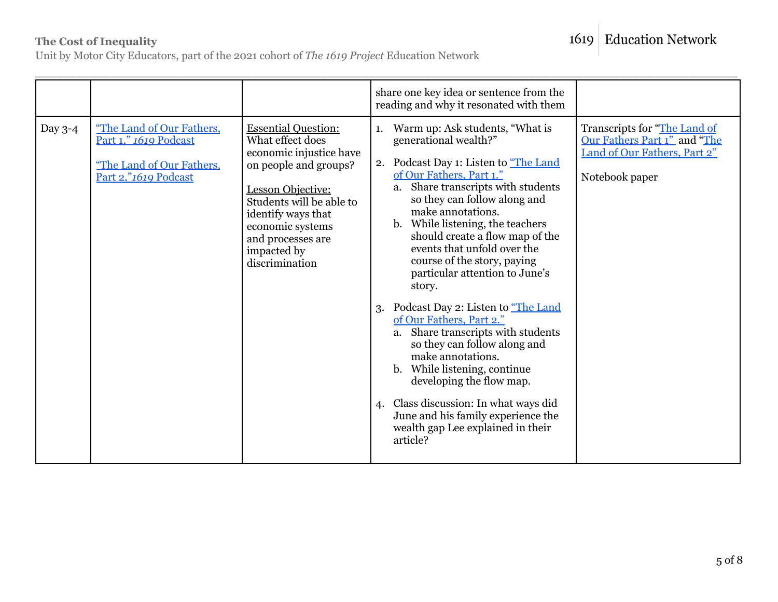# 1619 Education Network

### **The Cost of Inequality**

Unit by Motor City Educators, part of the 2021 cohort of *The 1619 Project* Education Network

|           |                                                                                                         |                                                                                                                                                                                                                                                            | share one key idea or sentence from the<br>reading and why it resonated with them                                                                                                                                                                                                                                                                                                                                                                                                                                                                                                                                                                                                                                                                                                                             |                                                                                                                |
|-----------|---------------------------------------------------------------------------------------------------------|------------------------------------------------------------------------------------------------------------------------------------------------------------------------------------------------------------------------------------------------------------|---------------------------------------------------------------------------------------------------------------------------------------------------------------------------------------------------------------------------------------------------------------------------------------------------------------------------------------------------------------------------------------------------------------------------------------------------------------------------------------------------------------------------------------------------------------------------------------------------------------------------------------------------------------------------------------------------------------------------------------------------------------------------------------------------------------|----------------------------------------------------------------------------------------------------------------|
| Day $3-4$ | "The Land of Our Fathers,<br>Part 1," 1619 Podcast<br>"The Land of Our Fathers,<br>Part 2,"1619 Podcast | <b>Essential Question:</b><br>What effect does<br>economic injustice have<br>on people and groups?<br><b>Lesson Objective:</b><br>Students will be able to<br>identify ways that<br>economic systems<br>and processes are<br>impacted by<br>discrimination | Warm up: Ask students, "What is<br>1.<br>generational wealth?"<br>Podcast Day 1: Listen to "The Land<br>2.<br>of Our Fathers, Part 1."<br>a. Share transcripts with students<br>so they can follow along and<br>make annotations.<br>While listening, the teachers<br>$\mathbf{b}$ .<br>should create a flow map of the<br>events that unfold over the<br>course of the story, paying<br>particular attention to June's<br>story.<br>Podcast Day 2: Listen to "The Land<br>3.<br>of Our Fathers, Part 2."<br>a. Share transcripts with students<br>so they can follow along and<br>make annotations.<br>b. While listening, continue<br>developing the flow map.<br>Class discussion: In what ways did<br>$\mathbf{4}$<br>June and his family experience the<br>wealth gap Lee explained in their<br>article? | Transcripts for "The Land of<br>Our Fathers Part 1" and "The<br>Land of Our Fathers, Part 2"<br>Notebook paper |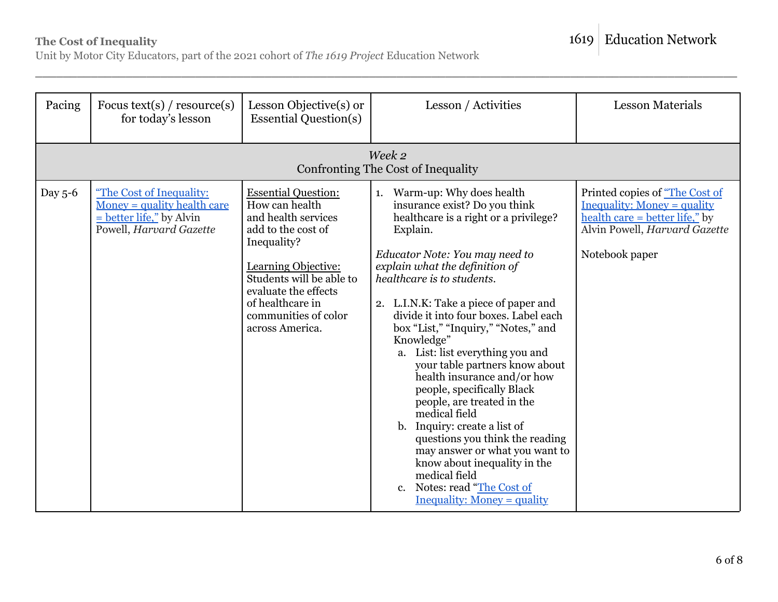Unit by Motor City Educators, part of the 2021 cohort of *The 1619 Project* Education Network

| Pacing  | Focus text(s) / $resource(s)$<br>for today's lesson                                                                | Lesson Objective(s) or<br><b>Essential Question(s)</b>                                                                                                                                                                                             | Lesson / Activities                                                                                                                                                                                                                                                                                                                                                                                                                                                                                                                                                                                                                                                                                                                                                                    | <b>Lesson Materials</b>                                                                                                                                   |
|---------|--------------------------------------------------------------------------------------------------------------------|----------------------------------------------------------------------------------------------------------------------------------------------------------------------------------------------------------------------------------------------------|----------------------------------------------------------------------------------------------------------------------------------------------------------------------------------------------------------------------------------------------------------------------------------------------------------------------------------------------------------------------------------------------------------------------------------------------------------------------------------------------------------------------------------------------------------------------------------------------------------------------------------------------------------------------------------------------------------------------------------------------------------------------------------------|-----------------------------------------------------------------------------------------------------------------------------------------------------------|
|         |                                                                                                                    |                                                                                                                                                                                                                                                    | Week 2<br>Confronting The Cost of Inequality                                                                                                                                                                                                                                                                                                                                                                                                                                                                                                                                                                                                                                                                                                                                           |                                                                                                                                                           |
| Day 5-6 | "The Cost of Inequality:<br>$Monev = quality health care$<br>$=$ better life," by Alvin<br>Powell, Harvard Gazette | <b>Essential Question:</b><br>How can health<br>and health services<br>add to the cost of<br>Inequality?<br>Learning Objective:<br>Students will be able to<br>evaluate the effects<br>of healthcare in<br>communities of color<br>across America. | Warm-up: Why does health<br>1.<br>insurance exist? Do you think<br>healthcare is a right or a privilege?<br>Explain.<br>Educator Note: You may need to<br>explain what the definition of<br>healthcare is to students.<br>2. L.I.N.K: Take a piece of paper and<br>divide it into four boxes. Label each<br>box "List," "Inquiry," "Notes," and<br>Knowledge"<br>a. List: list everything you and<br>your table partners know about<br>health insurance and/or how<br>people, specifically Black<br>people, are treated in the<br>medical field<br>b. Inquiry: create a list of<br>questions you think the reading<br>may answer or what you want to<br>know about inequality in the<br>medical field<br>Notes: read "The Cost of<br>$c_{\cdot}$<br><b>Inequality: Money = quality</b> | Printed copies of "The Cost of<br><b>Inequality: Money = quality</b><br>health care = better life," by<br>Alvin Powell, Harvard Gazette<br>Notebook paper |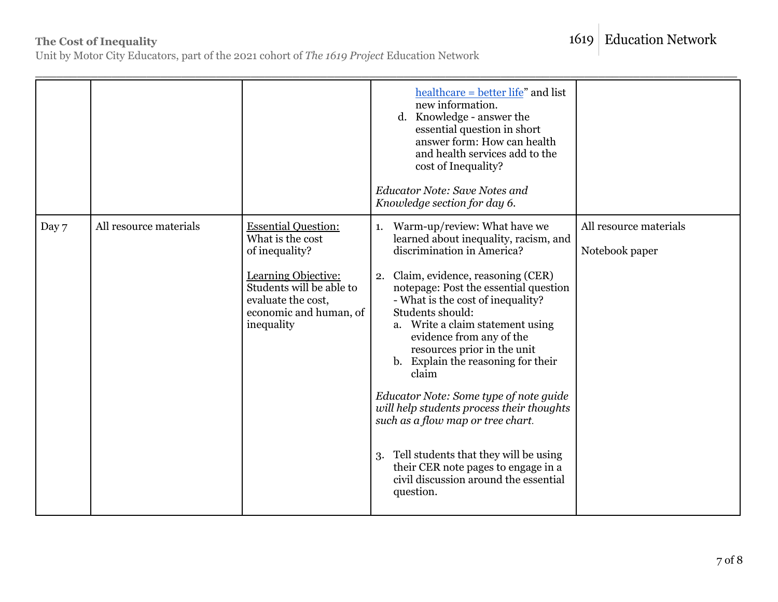# 1619 Education Network

### **The Cost of Inequality**

Unit by Motor City Educators, part of the 2021 cohort of *The 1619 Project* Education Network

|       |                        |                                                                                                                                                                                   | $\text{healthcare} = \text{better life}$ " and list<br>new information.<br>d. Knowledge - answer the<br>essential question in short<br>answer form: How can health<br>and health services add to the<br>cost of Inequality?<br><b>Educator Note: Save Notes and</b><br>Knowledge section for day 6.                                                                                                                                                                                                                                                                                                                                                                      |                                          |
|-------|------------------------|-----------------------------------------------------------------------------------------------------------------------------------------------------------------------------------|--------------------------------------------------------------------------------------------------------------------------------------------------------------------------------------------------------------------------------------------------------------------------------------------------------------------------------------------------------------------------------------------------------------------------------------------------------------------------------------------------------------------------------------------------------------------------------------------------------------------------------------------------------------------------|------------------------------------------|
| Day 7 | All resource materials | <b>Essential Question:</b><br>What is the cost<br>of inequality?<br>Learning Objective:<br>Students will be able to<br>evaluate the cost,<br>economic and human, of<br>inequality | Warm-up/review: What have we<br>1.<br>learned about inequality, racism, and<br>discrimination in America?<br>2. Claim, evidence, reasoning (CER)<br>notepage: Post the essential question<br>- What is the cost of inequality?<br>Students should:<br>a. Write a claim statement using<br>evidence from any of the<br>resources prior in the unit<br>b. Explain the reasoning for their<br>claim<br>Educator Note: Some type of note guide<br>will help students process their thoughts<br>such as a flow map or tree chart.<br>Tell students that they will be using<br>3.<br>their CER note pages to engage in a<br>civil discussion around the essential<br>question. | All resource materials<br>Notebook paper |